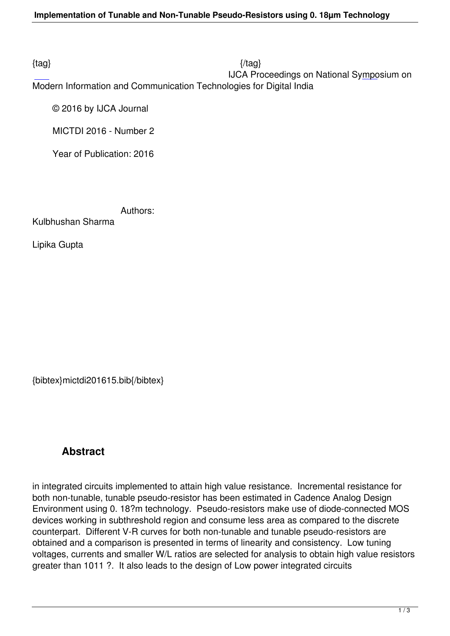$\{tag\}$  IJCA Proceedings on National Symposium on Modern Information and Communication Technologies for Digital India

© 2016 by IJCA Journal

MICTDI 2016 - Number 2

Year of Publication: 2016

Authors:

Kulbhushan Sharma

Lipika Gupta

{bibtex}mictdi201615.bib{/bibtex}

## **Abstract**

in integrated circuits implemented to attain high value resistance. Incremental resistance for both non-tunable, tunable pseudo-resistor has been estimated in Cadence Analog Design Environment using 0. 18?m technology. Pseudo-resistors make use of diode-connected MOS devices working in subthreshold region and consume less area as compared to the discrete counterpart. Different V-R curves for both non-tunable and tunable pseudo-resistors are obtained and a comparison is presented in terms of linearity and consistency. Low tuning voltages, currents and smaller W/L ratios are selected for analysis to obtain high value resistors greater than 1011 ?. It also leads to the design of Low power integrated circuits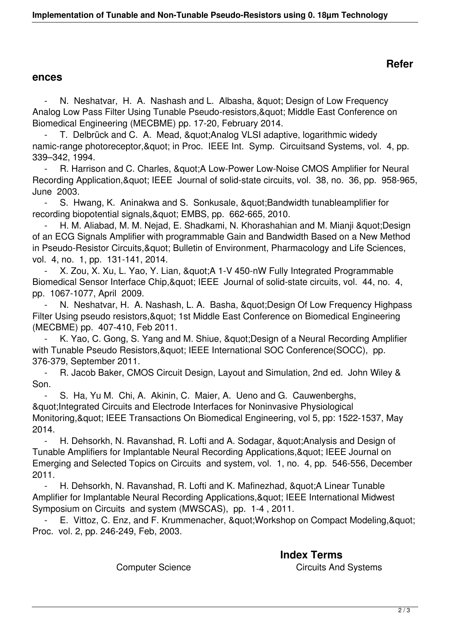## **Refer**

## **ences**

N. Neshatvar, H. A. Nashash and L. Albasha, " Design of Low Frequency Analog Low Pass Filter Using Tunable Pseudo-resistors, & quot; Middle East Conference on Biomedical Engineering (MECBME) pp. 17-20, February 2014.

T. Delbrück and C. A. Mead, " Analog VLSI adaptive, logarithmic widedy namic-range photoreceptor, & quot; in Proc. IEEE Int. Symp. Circuitsand Systems, vol. 4, pp. 339–342, 1994.

R. Harrison and C. Charles, " A Low-Power Low-Noise CMOS Amplifier for Neural Recording Application, " IEEE Journal of solid-state circuits, vol. 38, no. 36, pp. 958-965, June 2003.

S. Hwang, K. Aninakwa and S. Sonkusale, " Bandwidth tunableamplifier for recording biopotential signals, & quot; EMBS, pp. 662-665, 2010.

H. M. Aliabad, M. M. Nejad, E. Shadkami, N. Khorashahian and M. Mianji & quot; Design of an ECG Signals Amplifier with programmable Gain and Bandwidth Based on a New Method in Pseudo-Resistor Circuits, & quot; Bulletin of Environment, Pharmacology and Life Sciences, vol. 4, no. 1, pp. 131-141, 2014.

X. Zou, X. Xu, L. Yao, Y. Lian, & quot; A 1-V 450-nW Fully Integrated Programmable Biomedical Sensor Interface Chip, & quot; IEEE Journal of solid-state circuits, vol. 44, no. 4, pp. 1067-1077, April 2009.

N. Neshatvar, H. A. Nashash, L. A. Basha, &guot; Design Of Low Frequency Highpass Filter Using pseudo resistors, & quot; 1st Middle East Conference on Biomedical Engineering (MECBME) pp. 407-410, Feb 2011.

K. Yao, C. Gong, S. Yang and M. Shiue, & quot; Design of a Neural Recording Amplifier with Tunable Pseudo Resistors, & quot; IEEE International SOC Conference(SOCC), pp. 376-379, September 2011.

 - R. Jacob Baker, CMOS Circuit Design, Layout and Simulation, 2nd ed. John Wiley & Son.

S. Ha, Yu M. Chi, A. Akinin, C. Maier, A. Ueno and G. Cauwenberghs, "Integrated Circuits and Electrode Interfaces for Noninvasive Physiological Monitoring, & quot; IEEE Transactions On Biomedical Engineering, vol 5, pp: 1522-1537, May 2014.

H. Dehsorkh, N. Ravanshad, R. Lofti and A. Sodagar, & quot; Analysis and Design of Tunable Amplifiers for Implantable Neural Recording Applications, & quot; IEEE Journal on Emerging and Selected Topics on Circuits and system, vol. 1, no. 4, pp. 546-556, December 2011.

- H. Dehsorkh, N. Ravanshad, R. Lofti and K. Mafinezhad, " A Linear Tunable Amplifier for Implantable Neural Recording Applications, & quot; IEEE International Midwest Symposium on Circuits and system (MWSCAS), pp. 1-4 , 2011.

E. Vittoz, C. Enz, and F. Krummenacher, " Workshop on Compact Modeling, " Proc. vol. 2, pp. 246-249, Feb, 2003.

 **Index Terms**  Computer Science Computer Circuits And Systems